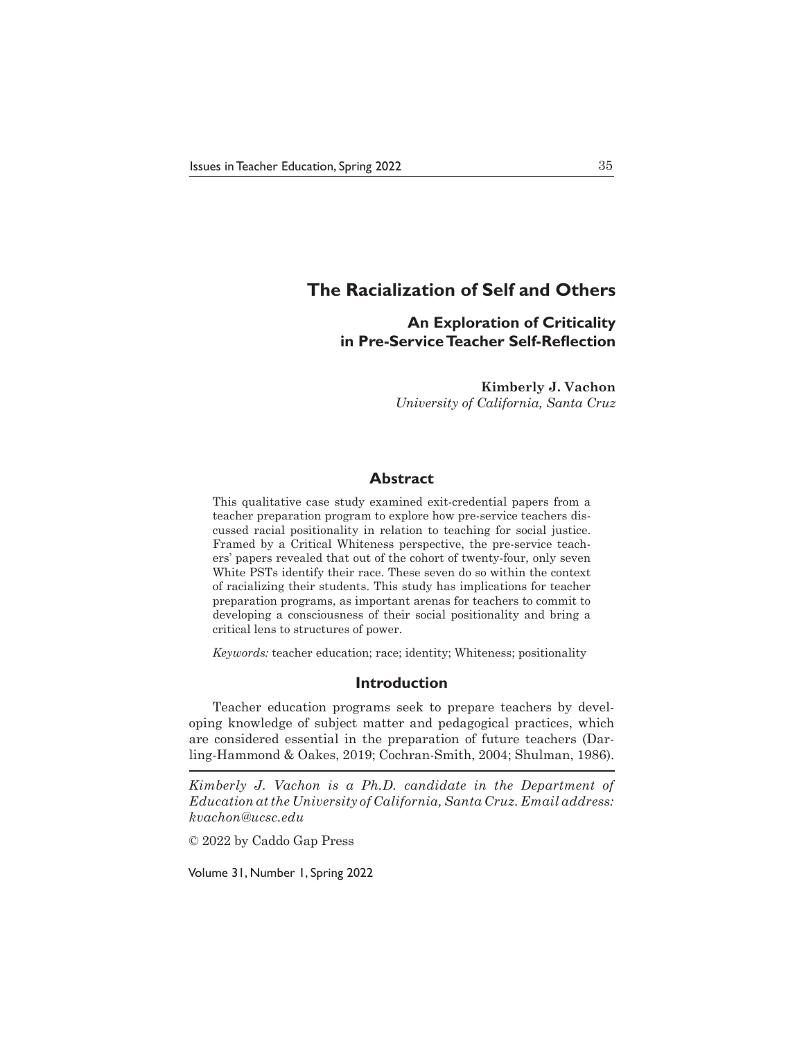# **The Racialization of Self and Others**

# **An Exploration of Criticality in Pre-Service Teacher Self-Reflection**

**Kimberly J. Vachon** *University of California, Santa Cruz*

# **Abstract**

This qualitative case study examined exit-credential papers from a teacher preparation program to explore how pre-service teachers discussed racial positionality in relation to teaching for social justice. Framed by a Critical Whiteness perspective, the pre-service teachers' papers revealed that out of the cohort of twenty-four, only seven White PSTs identify their race. These seven do so within the context of racializing their students. This study has implications for teacher preparation programs, as important arenas for teachers to commit to developing a consciousness of their social positionality and bring a critical lens to structures of power.

*Keywords:* teacher education; race; identity; Whiteness; positionality

## **Introduction**

Teacher education programs seek to prepare teachers by developing knowledge of subject matter and pedagogical practices, which are considered essential in the preparation of future teachers (Darling-Hammond & Oakes, 2019; Cochran-Smith, 2004; Shulman, 1986).

*Kimberly J. Vachon is a Ph.D. candidate in the Department of Education at the University of California, Santa Cruz. Email address: kvachon@ucsc.edu*

© 2022 by Caddo Gap Press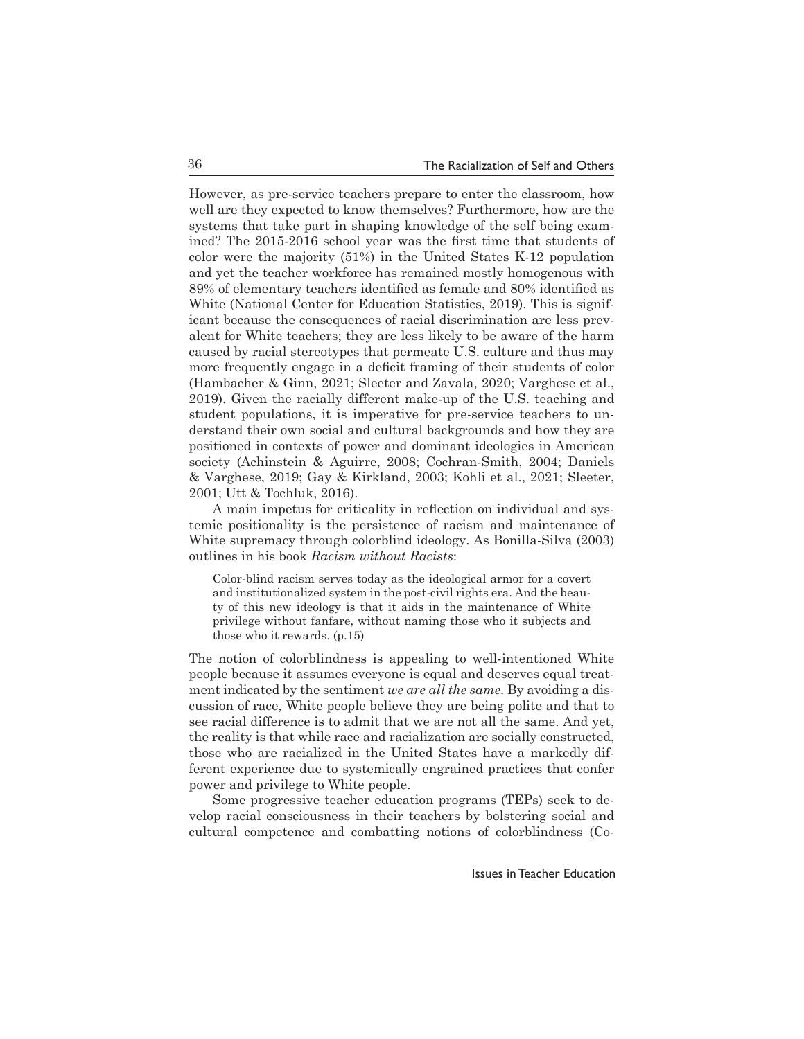However, as pre-service teachers prepare to enter the classroom, how well are they expected to know themselves? Furthermore, how are the systems that take part in shaping knowledge of the self being examined? The 2015-2016 school year was the first time that students of color were the majority (51%) in the United States K-12 population and yet the teacher workforce has remained mostly homogenous with 89% of elementary teachers identified as female and 80% identified as White (National Center for Education Statistics, 2019). This is significant because the consequences of racial discrimination are less prevalent for White teachers; they are less likely to be aware of the harm caused by racial stereotypes that permeate U.S. culture and thus may more frequently engage in a deficit framing of their students of color (Hambacher & Ginn, 2021; Sleeter and Zavala, 2020; Varghese et al., 2019). Given the racially different make-up of the U.S. teaching and student populations, it is imperative for pre-service teachers to understand their own social and cultural backgrounds and how they are positioned in contexts of power and dominant ideologies in American society (Achinstein & Aguirre, 2008; Cochran-Smith, 2004; Daniels & Varghese, 2019; Gay & Kirkland, 2003; Kohli et al., 2021; Sleeter, 2001; Utt & Tochluk, 2016).

A main impetus for criticality in reflection on individual and systemic positionality is the persistence of racism and maintenance of White supremacy through colorblind ideology. As Bonilla-Silva (2003) outlines in his book *Racism without Racists*:

Color-blind racism serves today as the ideological armor for a covert and institutionalized system in the post-civil rights era. And the beauty of this new ideology is that it aids in the maintenance of White privilege without fanfare, without naming those who it subjects and those who it rewards. (p.15)

The notion of colorblindness is appealing to well-intentioned White people because it assumes everyone is equal and deserves equal treatment indicated by the sentiment *we are all the same*. By avoiding a discussion of race, White people believe they are being polite and that to see racial difference is to admit that we are not all the same. And yet, the reality is that while race and racialization are socially constructed, those who are racialized in the United States have a markedly different experience due to systemically engrained practices that confer power and privilege to White people.

Some progressive teacher education programs (TEPs) seek to develop racial consciousness in their teachers by bolstering social and cultural competence and combatting notions of colorblindness (Co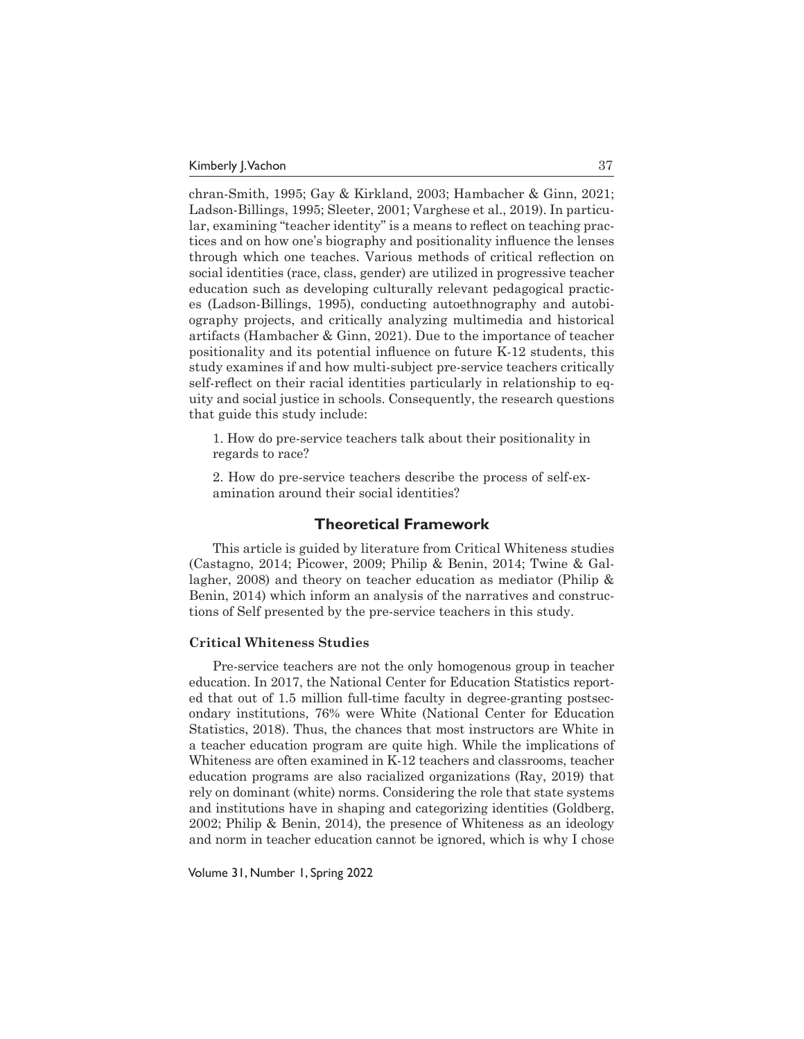chran-Smith, 1995; Gay & Kirkland, 2003; Hambacher & Ginn, 2021; Ladson-Billings, 1995; Sleeter, 2001; Varghese et al., 2019). In particular, examining "teacher identity" is a means to reflect on teaching practices and on how one's biography and positionality influence the lenses through which one teaches. Various methods of critical reflection on social identities (race, class, gender) are utilized in progressive teacher education such as developing culturally relevant pedagogical practices (Ladson-Billings, 1995), conducting autoethnography and autobiography projects, and critically analyzing multimedia and historical artifacts (Hambacher & Ginn, 2021). Due to the importance of teacher positionality and its potential influence on future K-12 students, this study examines if and how multi-subject pre-service teachers critically self-reflect on their racial identities particularly in relationship to equity and social justice in schools. Consequently, the research questions that guide this study include:

1. How do pre-service teachers talk about their positionality in regards to race?

2. How do pre-service teachers describe the process of self-examination around their social identities?

# **Theoretical Framework**

This article is guided by literature from Critical Whiteness studies (Castagno, 2014; Picower, 2009; Philip & Benin, 2014; Twine & Gallagher, 2008) and theory on teacher education as mediator (Philip & Benin, 2014) which inform an analysis of the narratives and constructions of Self presented by the pre-service teachers in this study.

#### **Critical Whiteness Studies**

Pre-service teachers are not the only homogenous group in teacher education. In 2017, the National Center for Education Statistics reported that out of 1.5 million full-time faculty in degree-granting postsecondary institutions, 76% were White (National Center for Education Statistics, 2018). Thus, the chances that most instructors are White in a teacher education program are quite high. While the implications of Whiteness are often examined in K-12 teachers and classrooms, teacher education programs are also racialized organizations (Ray, 2019) that rely on dominant (white) norms. Considering the role that state systems and institutions have in shaping and categorizing identities (Goldberg, 2002; Philip & Benin, 2014), the presence of Whiteness as an ideology and norm in teacher education cannot be ignored, which is why I chose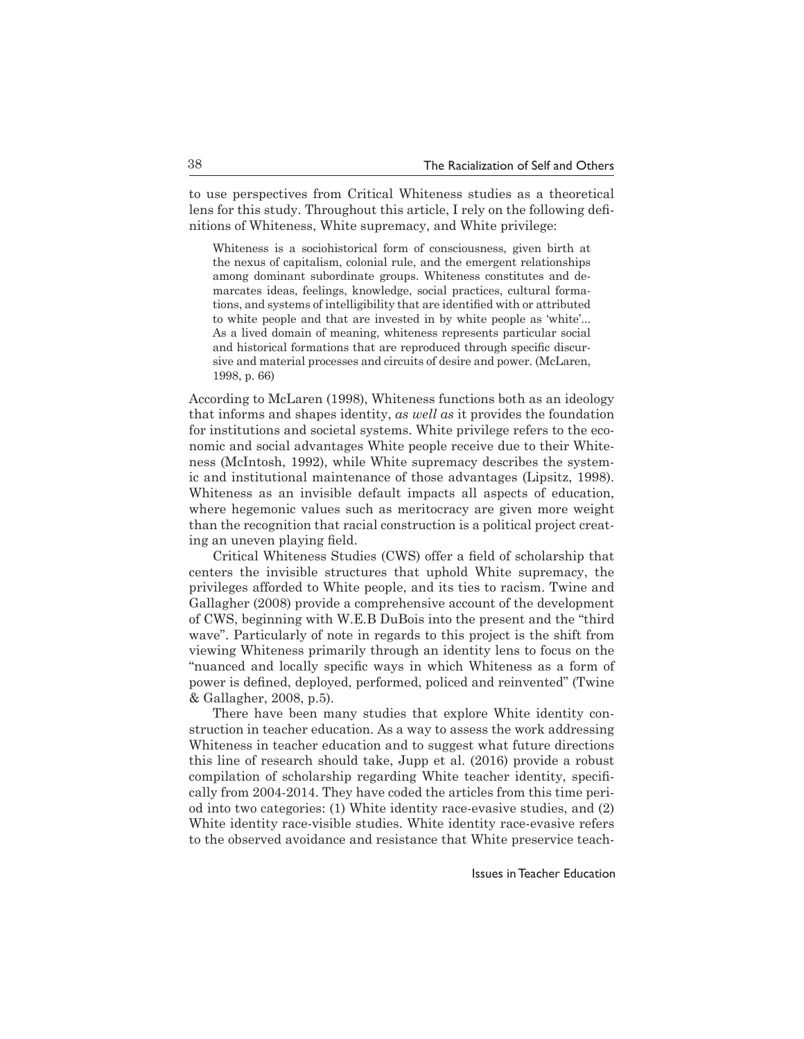to use perspectives from Critical Whiteness studies as a theoretical lens for this study. Throughout this article, I rely on the following definitions of Whiteness, White supremacy, and White privilege:

Whiteness is a sociohistorical form of consciousness, given birth at the nexus of capitalism, colonial rule, and the emergent relationships among dominant subordinate groups. Whiteness constitutes and demarcates ideas, feelings, knowledge, social practices, cultural formations, and systems of intelligibility that are identified with or attributed to white people and that are invested in by white people as 'white'... As a lived domain of meaning, whiteness represents particular social and historical formations that are reproduced through specific discursive and material processes and circuits of desire and power. (McLaren, 1998, p. 66)

According to McLaren (1998), Whiteness functions both as an ideology that informs and shapes identity, *as well as* it provides the foundation for institutions and societal systems. White privilege refers to the economic and social advantages White people receive due to their Whiteness (McIntosh, 1992), while White supremacy describes the systemic and institutional maintenance of those advantages (Lipsitz, 1998). Whiteness as an invisible default impacts all aspects of education, where hegemonic values such as meritocracy are given more weight than the recognition that racial construction is a political project creating an uneven playing field.

Critical Whiteness Studies (CWS) offer a field of scholarship that centers the invisible structures that uphold White supremacy, the privileges afforded to White people, and its ties to racism. Twine and Gallagher (2008) provide a comprehensive account of the development of CWS, beginning with W.E.B DuBois into the present and the "third wave". Particularly of note in regards to this project is the shift from viewing Whiteness primarily through an identity lens to focus on the "nuanced and locally specific ways in which Whiteness as a form of power is defined, deployed, performed, policed and reinvented" (Twine & Gallagher, 2008, p.5).

There have been many studies that explore White identity construction in teacher education. As a way to assess the work addressing Whiteness in teacher education and to suggest what future directions this line of research should take, Jupp et al. (2016) provide a robust compilation of scholarship regarding White teacher identity, specifically from 2004-2014. They have coded the articles from this time period into two categories: (1) White identity race-evasive studies, and (2) White identity race-visible studies. White identity race-evasive refers to the observed avoidance and resistance that White preservice teach-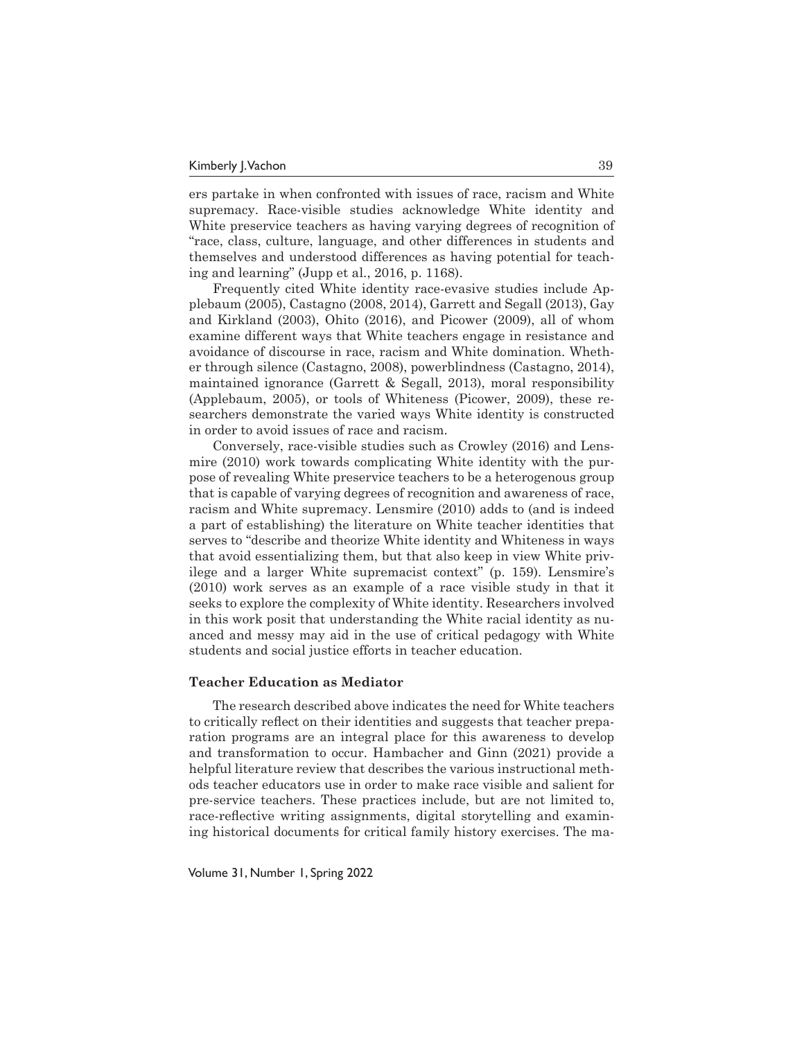ers partake in when confronted with issues of race, racism and White supremacy. Race-visible studies acknowledge White identity and White preservice teachers as having varying degrees of recognition of "race, class, culture, language, and other differences in students and themselves and understood differences as having potential for teaching and learning" (Jupp et al., 2016, p. 1168).

Frequently cited White identity race-evasive studies include Applebaum (2005), Castagno (2008, 2014), Garrett and Segall (2013), Gay and Kirkland (2003), Ohito (2016), and Picower (2009), all of whom examine different ways that White teachers engage in resistance and avoidance of discourse in race, racism and White domination. Whether through silence (Castagno, 2008), powerblindness (Castagno, 2014), maintained ignorance (Garrett & Segall, 2013), moral responsibility (Applebaum, 2005), or tools of Whiteness (Picower, 2009), these researchers demonstrate the varied ways White identity is constructed in order to avoid issues of race and racism.

Conversely, race-visible studies such as Crowley (2016) and Lensmire (2010) work towards complicating White identity with the purpose of revealing White preservice teachers to be a heterogenous group that is capable of varying degrees of recognition and awareness of race, racism and White supremacy. Lensmire (2010) adds to (and is indeed a part of establishing) the literature on White teacher identities that serves to "describe and theorize White identity and Whiteness in ways that avoid essentializing them, but that also keep in view White privilege and a larger White supremacist context" (p. 159). Lensmire's (2010) work serves as an example of a race visible study in that it seeks to explore the complexity of White identity. Researchers involved in this work posit that understanding the White racial identity as nuanced and messy may aid in the use of critical pedagogy with White students and social justice efforts in teacher education.

#### **Teacher Education as Mediator**

The research described above indicates the need for White teachers to critically reflect on their identities and suggests that teacher preparation programs are an integral place for this awareness to develop and transformation to occur. Hambacher and Ginn (2021) provide a helpful literature review that describes the various instructional methods teacher educators use in order to make race visible and salient for pre-service teachers. These practices include, but are not limited to, race-reflective writing assignments, digital storytelling and examining historical documents for critical family history exercises. The ma-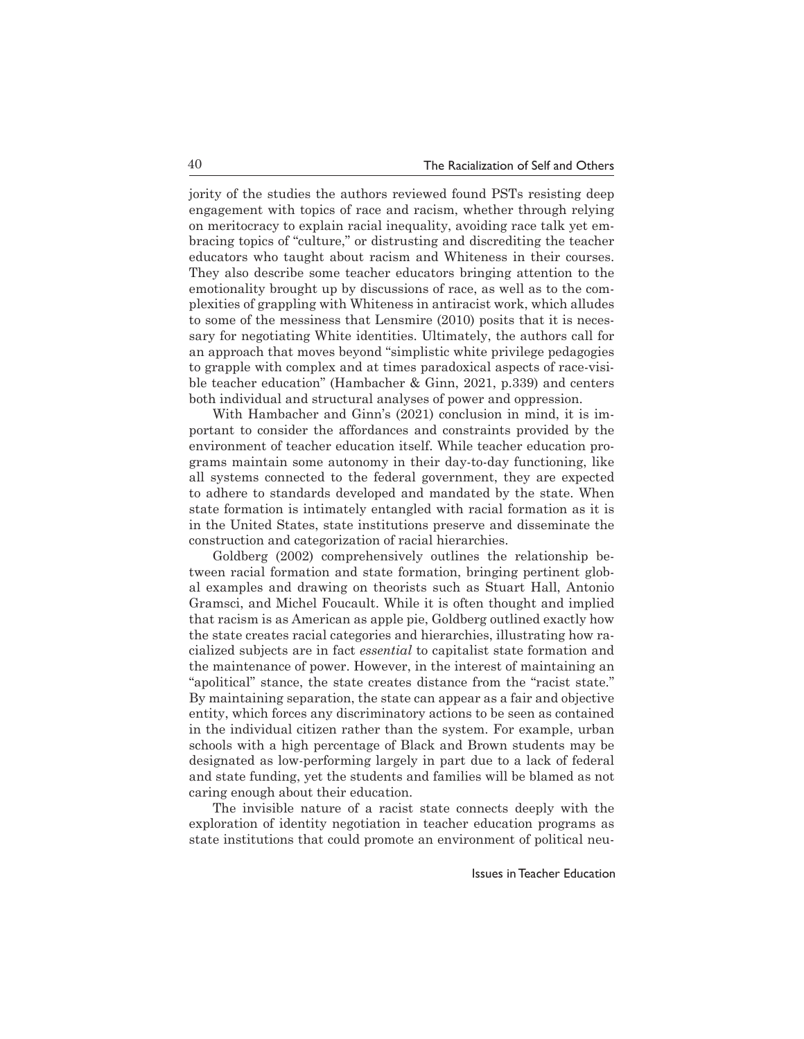jority of the studies the authors reviewed found PSTs resisting deep engagement with topics of race and racism, whether through relying on meritocracy to explain racial inequality, avoiding race talk yet embracing topics of "culture," or distrusting and discrediting the teacher educators who taught about racism and Whiteness in their courses. They also describe some teacher educators bringing attention to the emotionality brought up by discussions of race, as well as to the complexities of grappling with Whiteness in antiracist work, which alludes to some of the messiness that Lensmire (2010) posits that it is necessary for negotiating White identities. Ultimately, the authors call for an approach that moves beyond "simplistic white privilege pedagogies to grapple with complex and at times paradoxical aspects of race-visible teacher education" (Hambacher & Ginn, 2021, p.339) and centers both individual and structural analyses of power and oppression.

With Hambacher and Ginn's (2021) conclusion in mind, it is important to consider the affordances and constraints provided by the environment of teacher education itself. While teacher education programs maintain some autonomy in their day-to-day functioning, like all systems connected to the federal government, they are expected to adhere to standards developed and mandated by the state. When state formation is intimately entangled with racial formation as it is in the United States, state institutions preserve and disseminate the construction and categorization of racial hierarchies.

Goldberg (2002) comprehensively outlines the relationship between racial formation and state formation, bringing pertinent global examples and drawing on theorists such as Stuart Hall, Antonio Gramsci, and Michel Foucault. While it is often thought and implied that racism is as American as apple pie, Goldberg outlined exactly how the state creates racial categories and hierarchies, illustrating how racialized subjects are in fact *essential* to capitalist state formation and the maintenance of power. However, in the interest of maintaining an "apolitical" stance, the state creates distance from the "racist state." By maintaining separation, the state can appear as a fair and objective entity, which forces any discriminatory actions to be seen as contained in the individual citizen rather than the system. For example, urban schools with a high percentage of Black and Brown students may be designated as low-performing largely in part due to a lack of federal and state funding, yet the students and families will be blamed as not caring enough about their education.

The invisible nature of a racist state connects deeply with the exploration of identity negotiation in teacher education programs as state institutions that could promote an environment of political neu-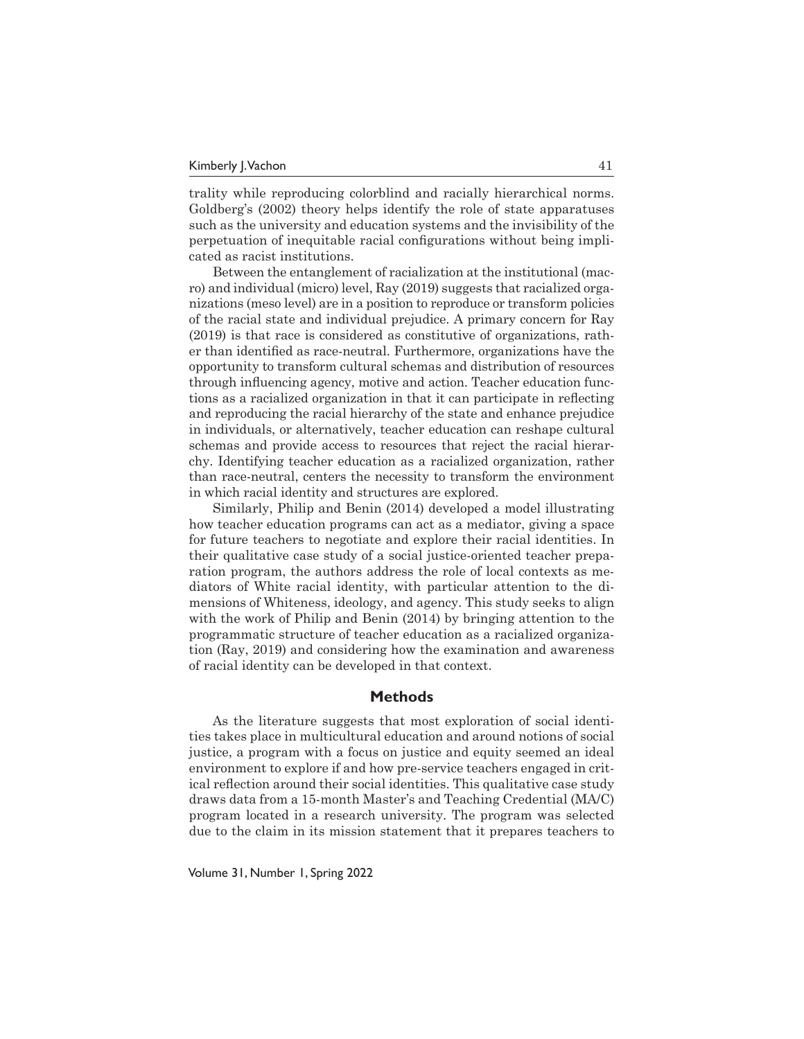trality while reproducing colorblind and racially hierarchical norms. Goldberg's (2002) theory helps identify the role of state apparatuses such as the university and education systems and the invisibility of the perpetuation of inequitable racial configurations without being implicated as racist institutions.

Between the entanglement of racialization at the institutional (macro) and individual (micro) level, Ray (2019) suggests that racialized organizations (meso level) are in a position to reproduce or transform policies of the racial state and individual prejudice. A primary concern for Ray (2019) is that race is considered as constitutive of organizations, rather than identified as race-neutral. Furthermore, organizations have the opportunity to transform cultural schemas and distribution of resources through influencing agency, motive and action. Teacher education functions as a racialized organization in that it can participate in reflecting and reproducing the racial hierarchy of the state and enhance prejudice in individuals, or alternatively, teacher education can reshape cultural schemas and provide access to resources that reject the racial hierarchy. Identifying teacher education as a racialized organization, rather than race-neutral, centers the necessity to transform the environment in which racial identity and structures are explored.

Similarly, Philip and Benin (2014) developed a model illustrating how teacher education programs can act as a mediator, giving a space for future teachers to negotiate and explore their racial identities. In their qualitative case study of a social justice-oriented teacher preparation program, the authors address the role of local contexts as mediators of White racial identity, with particular attention to the dimensions of Whiteness, ideology, and agency. This study seeks to align with the work of Philip and Benin (2014) by bringing attention to the programmatic structure of teacher education as a racialized organization (Ray, 2019) and considering how the examination and awareness of racial identity can be developed in that context.

## **Methods**

As the literature suggests that most exploration of social identities takes place in multicultural education and around notions of social justice, a program with a focus on justice and equity seemed an ideal environment to explore if and how pre-service teachers engaged in critical reflection around their social identities. This qualitative case study draws data from a 15-month Master's and Teaching Credential (MA/C) program located in a research university. The program was selected due to the claim in its mission statement that it prepares teachers to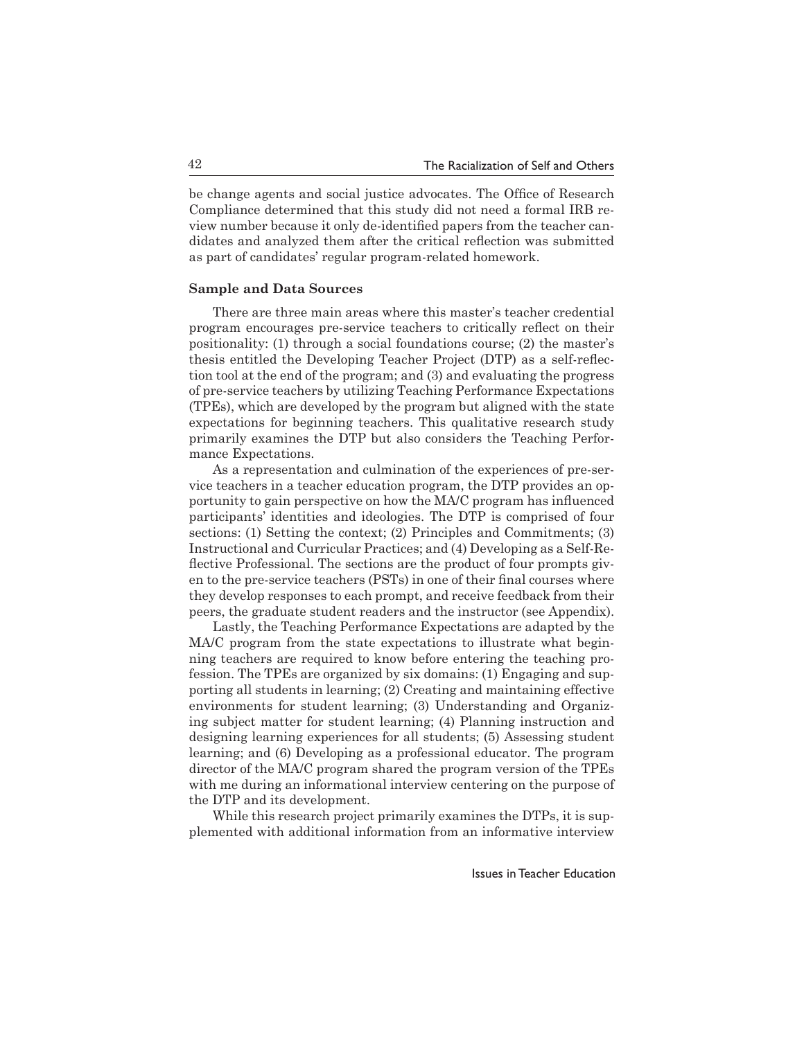be change agents and social justice advocates. The Office of Research Compliance determined that this study did not need a formal IRB review number because it only de-identified papers from the teacher candidates and analyzed them after the critical reflection was submitted as part of candidates' regular program-related homework.

## **Sample and Data Sources**

There are three main areas where this master's teacher credential program encourages pre-service teachers to critically reflect on their positionality: (1) through a social foundations course; (2) the master's thesis entitled the Developing Teacher Project (DTP) as a self-reflection tool at the end of the program; and (3) and evaluating the progress of pre-service teachers by utilizing Teaching Performance Expectations (TPEs), which are developed by the program but aligned with the state expectations for beginning teachers. This qualitative research study primarily examines the DTP but also considers the Teaching Performance Expectations.

As a representation and culmination of the experiences of pre-service teachers in a teacher education program, the DTP provides an opportunity to gain perspective on how the MA/C program has influenced participants' identities and ideologies. The DTP is comprised of four sections: (1) Setting the context; (2) Principles and Commitments; (3) Instructional and Curricular Practices; and (4) Developing as a Self-Reflective Professional. The sections are the product of four prompts given to the pre-service teachers (PSTs) in one of their final courses where they develop responses to each prompt, and receive feedback from their peers, the graduate student readers and the instructor (see Appendix).

Lastly, the Teaching Performance Expectations are adapted by the MA/C program from the state expectations to illustrate what beginning teachers are required to know before entering the teaching profession. The TPEs are organized by six domains: (1) Engaging and supporting all students in learning; (2) Creating and maintaining effective environments for student learning; (3) Understanding and Organizing subject matter for student learning; (4) Planning instruction and designing learning experiences for all students; (5) Assessing student learning; and (6) Developing as a professional educator. The program director of the MA/C program shared the program version of the TPEs with me during an informational interview centering on the purpose of the DTP and its development.

While this research project primarily examines the DTPs, it is supplemented with additional information from an informative interview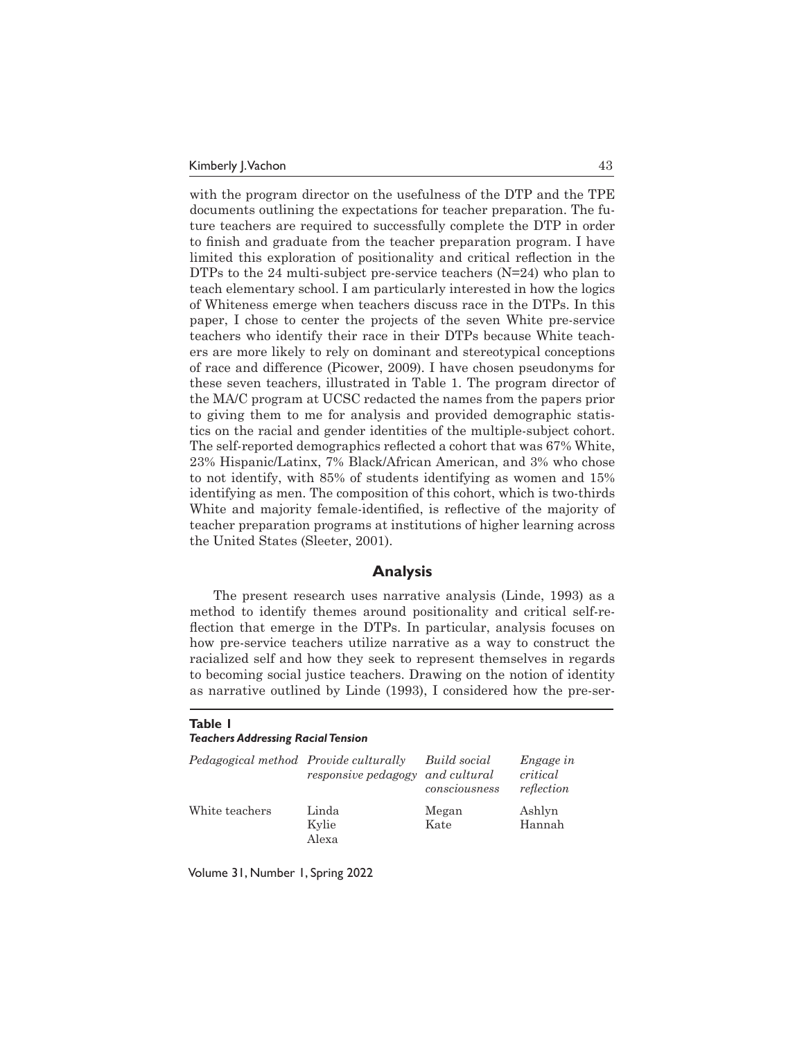with the program director on the usefulness of the DTP and the TPE documents outlining the expectations for teacher preparation. The future teachers are required to successfully complete the DTP in order to finish and graduate from the teacher preparation program. I have limited this exploration of positionality and critical reflection in the DTPs to the 24 multi-subject pre-service teachers (N=24) who plan to teach elementary school. I am particularly interested in how the logics of Whiteness emerge when teachers discuss race in the DTPs. In this paper, I chose to center the projects of the seven White pre-service teachers who identify their race in their DTPs because White teachers are more likely to rely on dominant and stereotypical conceptions of race and difference (Picower, 2009). I have chosen pseudonyms for these seven teachers, illustrated in Table 1. The program director of the MA/C program at UCSC redacted the names from the papers prior to giving them to me for analysis and provided demographic statistics on the racial and gender identities of the multiple-subject cohort. The self-reported demographics reflected a cohort that was 67% White, 23% Hispanic/Latinx, 7% Black/African American, and 3% who chose to not identify, with 85% of students identifying as women and 15% identifying as men. The composition of this cohort, which is two-thirds White and majority female-identified, is reflective of the majority of teacher preparation programs at institutions of higher learning across the United States (Sleeter, 2001).

## **Analysis**

The present research uses narrative analysis (Linde, 1993) as a method to identify themes around positionality and critical self-reflection that emerge in the DTPs. In particular, analysis focuses on how pre-service teachers utilize narrative as a way to construct the racialized self and how they seek to represent themselves in regards to becoming social justice teachers. Drawing on the notion of identity as narrative outlined by Linde (1993), I considered how the pre-ser-

#### **Table 1**

#### *Teachers Addressing Racial Tension*

| Pedagogical method Provide culturally | responsive pedagogy     | Build social<br>and cultural<br>consciousness | <i>Engage in</i><br>critical<br>reflection |
|---------------------------------------|-------------------------|-----------------------------------------------|--------------------------------------------|
| White teachers                        | Linda<br>Kylie<br>Alexa | Megan<br>Kate                                 | Ashlyn<br>Hannah                           |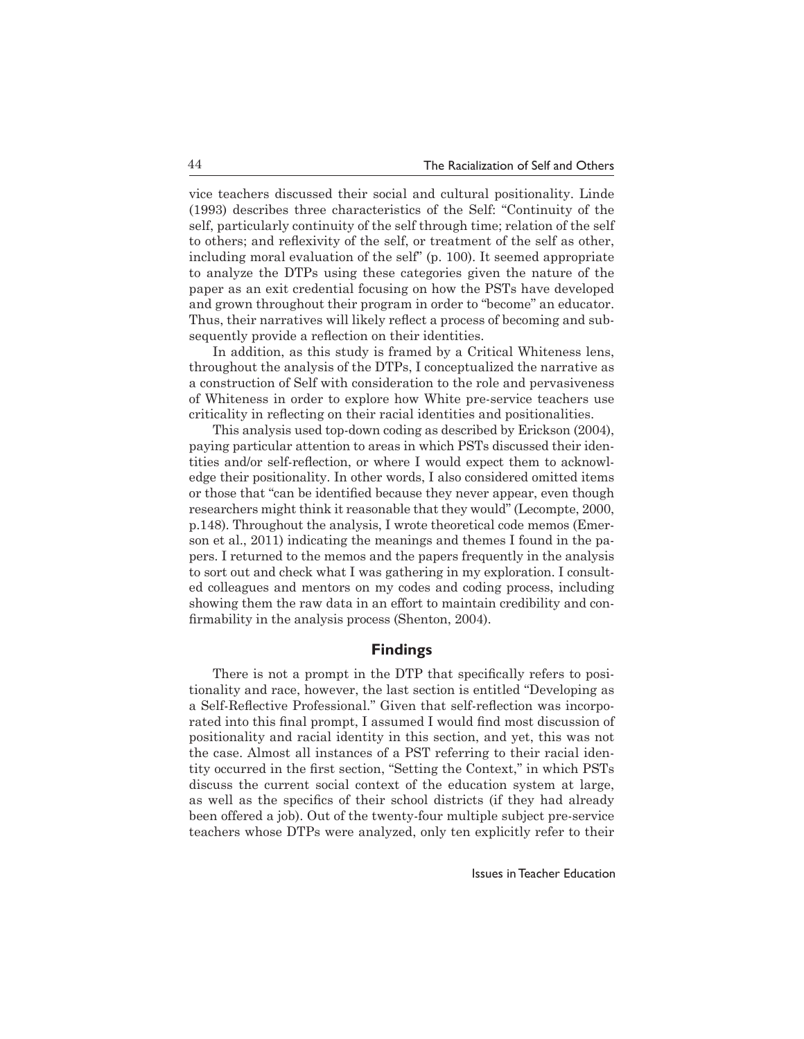vice teachers discussed their social and cultural positionality. Linde (1993) describes three characteristics of the Self: "Continuity of the self, particularly continuity of the self through time; relation of the self to others; and reflexivity of the self, or treatment of the self as other, including moral evaluation of the self" (p. 100). It seemed appropriate to analyze the DTPs using these categories given the nature of the paper as an exit credential focusing on how the PSTs have developed and grown throughout their program in order to "become" an educator. Thus, their narratives will likely reflect a process of becoming and subsequently provide a reflection on their identities.

In addition, as this study is framed by a Critical Whiteness lens, throughout the analysis of the DTPs, I conceptualized the narrative as a construction of Self with consideration to the role and pervasiveness of Whiteness in order to explore how White pre-service teachers use criticality in reflecting on their racial identities and positionalities.

This analysis used top-down coding as described by Erickson (2004), paying particular attention to areas in which PSTs discussed their identities and/or self-reflection, or where I would expect them to acknowledge their positionality. In other words, I also considered omitted items or those that "can be identified because they never appear, even though researchers might think it reasonable that they would" (Lecompte, 2000, p.148). Throughout the analysis, I wrote theoretical code memos (Emerson et al., 2011) indicating the meanings and themes I found in the papers. I returned to the memos and the papers frequently in the analysis to sort out and check what I was gathering in my exploration. I consulted colleagues and mentors on my codes and coding process, including showing them the raw data in an effort to maintain credibility and confirmability in the analysis process (Shenton, 2004).

## **Findings**

There is not a prompt in the DTP that specifically refers to positionality and race, however, the last section is entitled "Developing as a Self-Reflective Professional." Given that self-reflection was incorporated into this final prompt, I assumed I would find most discussion of positionality and racial identity in this section, and yet, this was not the case. Almost all instances of a PST referring to their racial identity occurred in the first section, "Setting the Context," in which PSTs discuss the current social context of the education system at large, as well as the specifics of their school districts (if they had already been offered a job). Out of the twenty-four multiple subject pre-service teachers whose DTPs were analyzed, only ten explicitly refer to their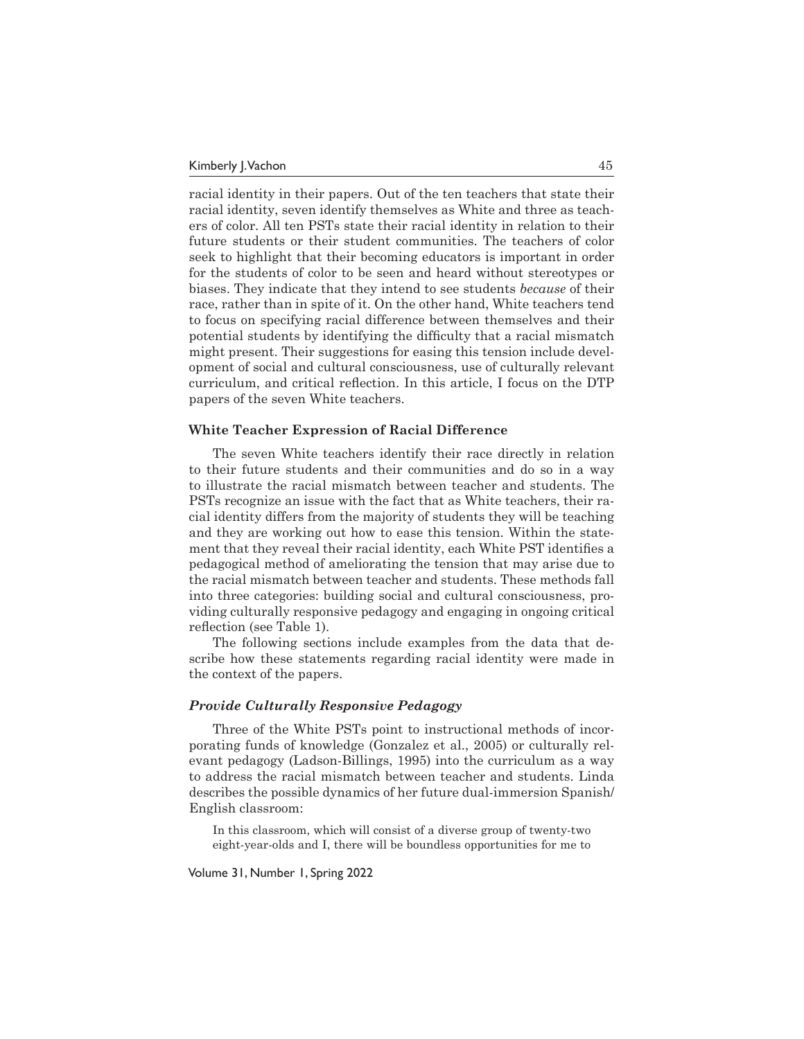racial identity in their papers. Out of the ten teachers that state their racial identity, seven identify themselves as White and three as teachers of color. All ten PSTs state their racial identity in relation to their future students or their student communities. The teachers of color seek to highlight that their becoming educators is important in order for the students of color to be seen and heard without stereotypes or biases. They indicate that they intend to see students *because* of their race, rather than in spite of it. On the other hand, White teachers tend to focus on specifying racial difference between themselves and their potential students by identifying the difficulty that a racial mismatch might present. Their suggestions for easing this tension include development of social and cultural consciousness, use of culturally relevant curriculum, and critical reflection. In this article, I focus on the DTP papers of the seven White teachers.

#### **White Teacher Expression of Racial Difference**

The seven White teachers identify their race directly in relation to their future students and their communities and do so in a way to illustrate the racial mismatch between teacher and students. The PSTs recognize an issue with the fact that as White teachers, their racial identity differs from the majority of students they will be teaching and they are working out how to ease this tension. Within the statement that they reveal their racial identity, each White PST identifies a pedagogical method of ameliorating the tension that may arise due to the racial mismatch between teacher and students. These methods fall into three categories: building social and cultural consciousness, providing culturally responsive pedagogy and engaging in ongoing critical reflection (see Table 1).

The following sections include examples from the data that describe how these statements regarding racial identity were made in the context of the papers.

#### *Provide Culturally Responsive Pedagogy*

Three of the White PSTs point to instructional methods of incorporating funds of knowledge (Gonzalez et al., 2005) or culturally relevant pedagogy (Ladson-Billings, 1995) into the curriculum as a way to address the racial mismatch between teacher and students. Linda describes the possible dynamics of her future dual-immersion Spanish/ English classroom:

In this classroom, which will consist of a diverse group of twenty-two eight-year-olds and I, there will be boundless opportunities for me to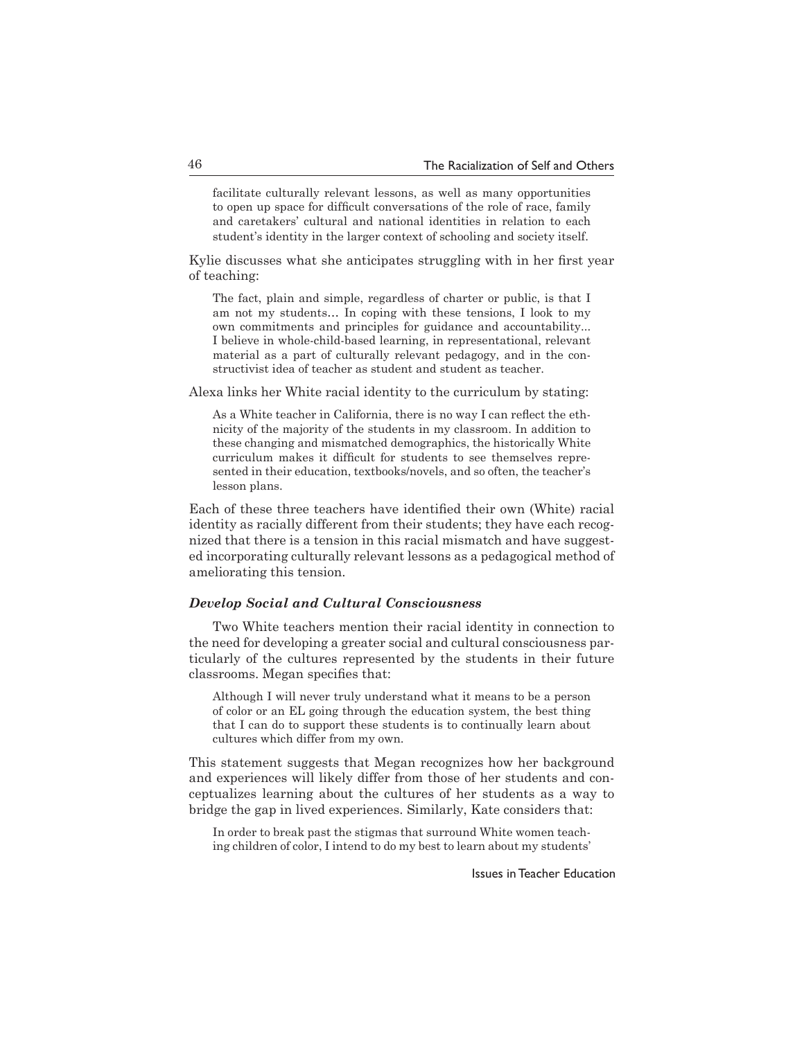facilitate culturally relevant lessons, as well as many opportunities to open up space for difficult conversations of the role of race, family and caretakers' cultural and national identities in relation to each student's identity in the larger context of schooling and society itself.

Kylie discusses what she anticipates struggling with in her first year of teaching:

The fact, plain and simple, regardless of charter or public, is that I am not my students… In coping with these tensions, I look to my own commitments and principles for guidance and accountability... I believe in whole-child-based learning, in representational, relevant material as a part of culturally relevant pedagogy, and in the constructivist idea of teacher as student and student as teacher.

Alexa links her White racial identity to the curriculum by stating:

As a White teacher in California, there is no way I can reflect the ethnicity of the majority of the students in my classroom. In addition to these changing and mismatched demographics, the historically White curriculum makes it difficult for students to see themselves represented in their education, textbooks/novels, and so often, the teacher's lesson plans.

Each of these three teachers have identified their own (White) racial identity as racially different from their students; they have each recognized that there is a tension in this racial mismatch and have suggested incorporating culturally relevant lessons as a pedagogical method of ameliorating this tension.

#### *Develop Social and Cultural Consciousness*

Two White teachers mention their racial identity in connection to the need for developing a greater social and cultural consciousness particularly of the cultures represented by the students in their future classrooms. Megan specifies that:

Although I will never truly understand what it means to be a person of color or an EL going through the education system, the best thing that I can do to support these students is to continually learn about cultures which differ from my own.

This statement suggests that Megan recognizes how her background and experiences will likely differ from those of her students and conceptualizes learning about the cultures of her students as a way to bridge the gap in lived experiences. Similarly, Kate considers that:

In order to break past the stigmas that surround White women teaching children of color, I intend to do my best to learn about my students'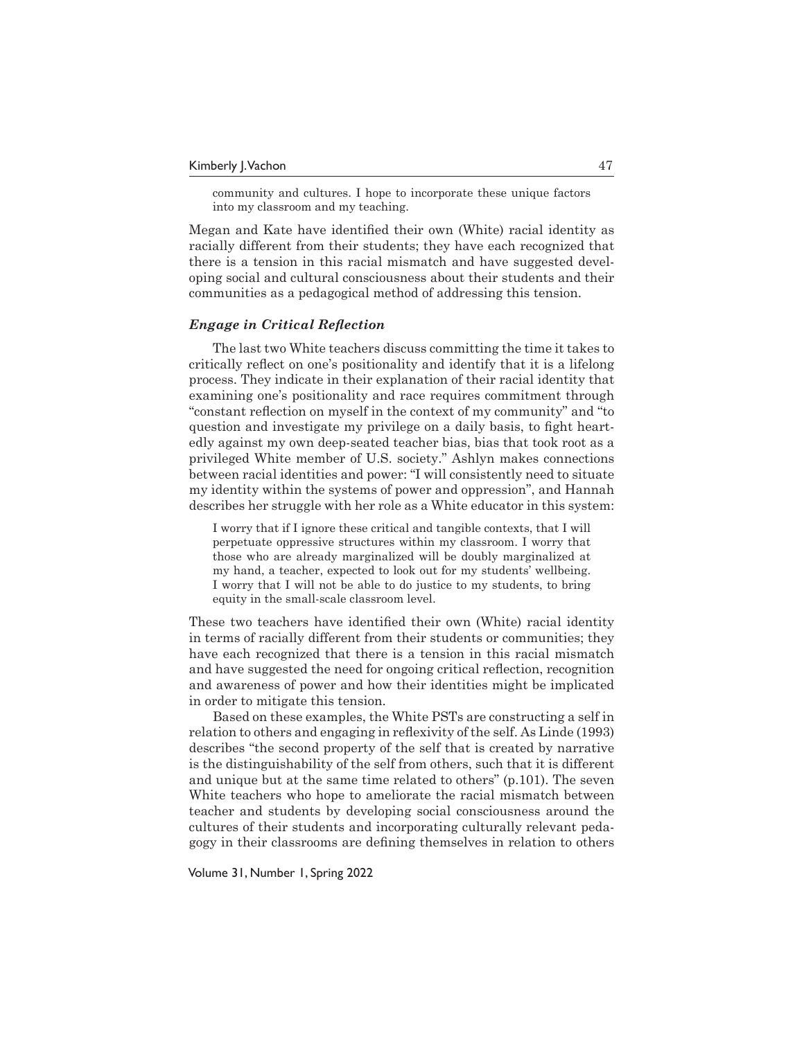community and cultures. I hope to incorporate these unique factors into my classroom and my teaching.

Megan and Kate have identified their own (White) racial identity as racially different from their students; they have each recognized that there is a tension in this racial mismatch and have suggested developing social and cultural consciousness about their students and their communities as a pedagogical method of addressing this tension.

### *Engage in Critical Reflection*

The last two White teachers discuss committing the time it takes to critically reflect on one's positionality and identify that it is a lifelong process. They indicate in their explanation of their racial identity that examining one's positionality and race requires commitment through "constant reflection on myself in the context of my community" and "to question and investigate my privilege on a daily basis, to fight heartedly against my own deep-seated teacher bias, bias that took root as a privileged White member of U.S. society." Ashlyn makes connections between racial identities and power: "I will consistently need to situate my identity within the systems of power and oppression", and Hannah describes her struggle with her role as a White educator in this system:

I worry that if I ignore these critical and tangible contexts, that I will perpetuate oppressive structures within my classroom. I worry that those who are already marginalized will be doubly marginalized at my hand, a teacher, expected to look out for my students' wellbeing. I worry that I will not be able to do justice to my students, to bring equity in the small-scale classroom level.

These two teachers have identified their own (White) racial identity in terms of racially different from their students or communities; they have each recognized that there is a tension in this racial mismatch and have suggested the need for ongoing critical reflection, recognition and awareness of power and how their identities might be implicated in order to mitigate this tension.

Based on these examples, the White PSTs are constructing a self in relation to others and engaging in reflexivity of the self. As Linde (1993) describes "the second property of the self that is created by narrative is the distinguishability of the self from others, such that it is different and unique but at the same time related to others" (p.101). The seven White teachers who hope to ameliorate the racial mismatch between teacher and students by developing social consciousness around the cultures of their students and incorporating culturally relevant pedagogy in their classrooms are defining themselves in relation to others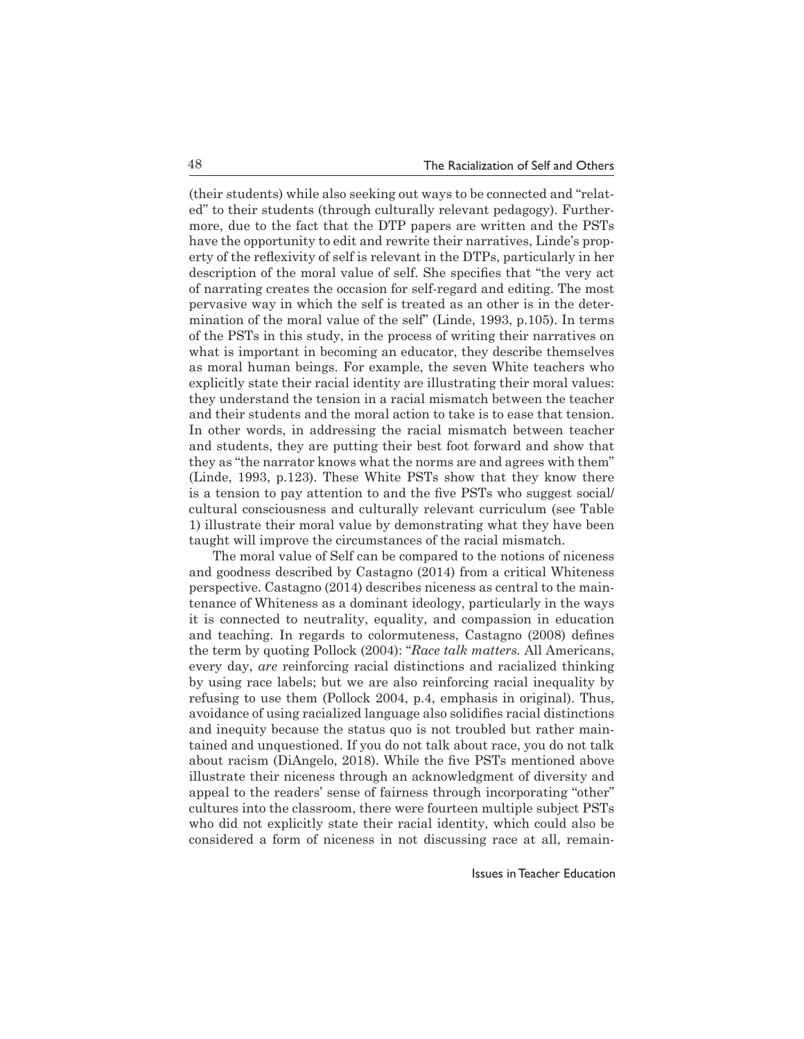(their students) while also seeking out ways to be connected and "related" to their students (through culturally relevant pedagogy). Furthermore, due to the fact that the DTP papers are written and the PSTs have the opportunity to edit and rewrite their narratives, Linde's property of the reflexivity of self is relevant in the DTPs, particularly in her description of the moral value of self. She specifies that "the very act of narrating creates the occasion for self-regard and editing. The most pervasive way in which the self is treated as an other is in the determination of the moral value of the self" (Linde, 1993, p.105). In terms of the PSTs in this study, in the process of writing their narratives on what is important in becoming an educator, they describe themselves as moral human beings. For example, the seven White teachers who explicitly state their racial identity are illustrating their moral values: they understand the tension in a racial mismatch between the teacher and their students and the moral action to take is to ease that tension. In other words, in addressing the racial mismatch between teacher and students, they are putting their best foot forward and show that they as "the narrator knows what the norms are and agrees with them" (Linde, 1993, p.123). These White PSTs show that they know there is a tension to pay attention to and the five PSTs who suggest social/ cultural consciousness and culturally relevant curriculum (see Table 1) illustrate their moral value by demonstrating what they have been taught will improve the circumstances of the racial mismatch.

The moral value of Self can be compared to the notions of niceness and goodness described by Castagno (2014) from a critical Whiteness perspective. Castagno (2014) describes niceness as central to the maintenance of Whiteness as a dominant ideology, particularly in the ways it is connected to neutrality, equality, and compassion in education and teaching. In regards to colormuteness, Castagno (2008) defines the term by quoting Pollock (2004): "*Race talk matters.* All Americans, every day, *are* reinforcing racial distinctions and racialized thinking by using race labels; but we are also reinforcing racial inequality by refusing to use them (Pollock 2004, p.4, emphasis in original). Thus, avoidance of using racialized language also solidifies racial distinctions and inequity because the status quo is not troubled but rather maintained and unquestioned. If you do not talk about race, you do not talk about racism (DiAngelo, 2018). While the five PSTs mentioned above illustrate their niceness through an acknowledgment of diversity and appeal to the readers' sense of fairness through incorporating "other" cultures into the classroom, there were fourteen multiple subject PSTs who did not explicitly state their racial identity, which could also be considered a form of niceness in not discussing race at all, remain-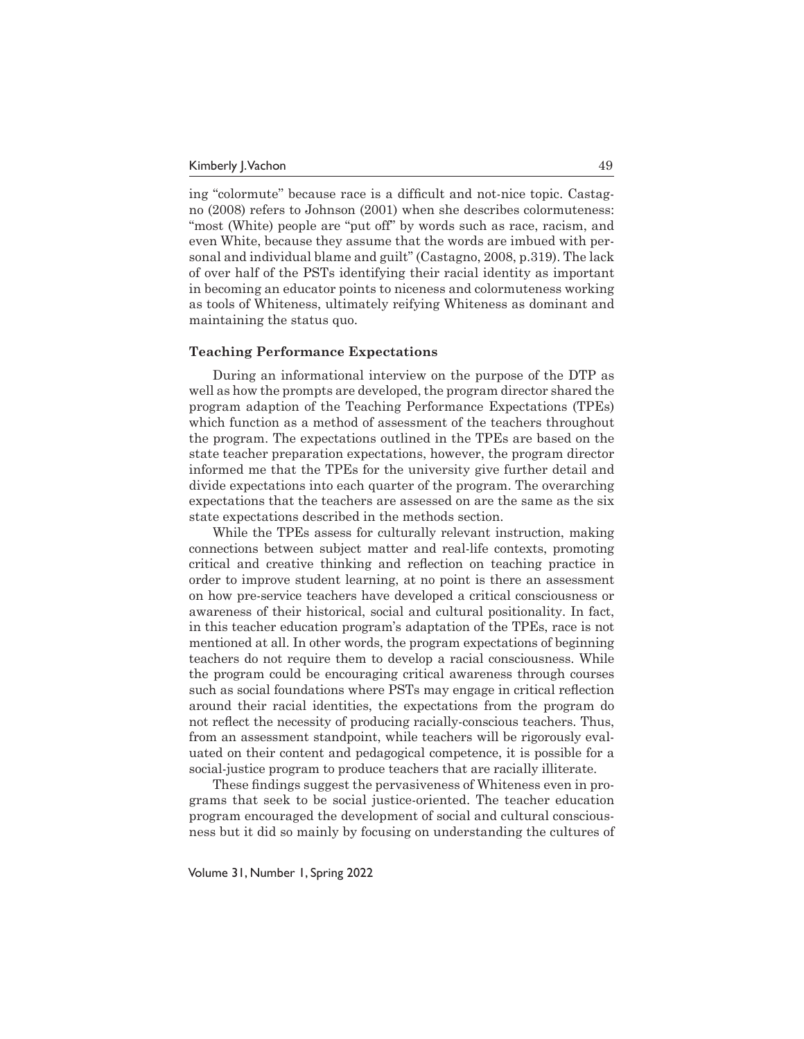ing "colormute'' because race is a difficult and not-nice topic. Castagno (2008) refers to Johnson (2001) when she describes colormuteness: "most (White) people are "put off" by words such as race, racism, and even White, because they assume that the words are imbued with personal and individual blame and guilt" (Castagno, 2008, p.319). The lack of over half of the PSTs identifying their racial identity as important in becoming an educator points to niceness and colormuteness working as tools of Whiteness, ultimately reifying Whiteness as dominant and maintaining the status quo.

#### **Teaching Performance Expectations**

During an informational interview on the purpose of the DTP as well as how the prompts are developed, the program director shared the program adaption of the Teaching Performance Expectations (TPEs) which function as a method of assessment of the teachers throughout the program. The expectations outlined in the TPEs are based on the state teacher preparation expectations, however, the program director informed me that the TPEs for the university give further detail and divide expectations into each quarter of the program. The overarching expectations that the teachers are assessed on are the same as the six state expectations described in the methods section.

While the TPEs assess for culturally relevant instruction, making connections between subject matter and real-life contexts, promoting critical and creative thinking and reflection on teaching practice in order to improve student learning, at no point is there an assessment on how pre-service teachers have developed a critical consciousness or awareness of their historical, social and cultural positionality. In fact, in this teacher education program's adaptation of the TPEs, race is not mentioned at all. In other words, the program expectations of beginning teachers do not require them to develop a racial consciousness. While the program could be encouraging critical awareness through courses such as social foundations where PSTs may engage in critical reflection around their racial identities, the expectations from the program do not reflect the necessity of producing racially-conscious teachers. Thus, from an assessment standpoint, while teachers will be rigorously evaluated on their content and pedagogical competence, it is possible for a social-justice program to produce teachers that are racially illiterate.

These findings suggest the pervasiveness of Whiteness even in programs that seek to be social justice-oriented. The teacher education program encouraged the development of social and cultural consciousness but it did so mainly by focusing on understanding the cultures of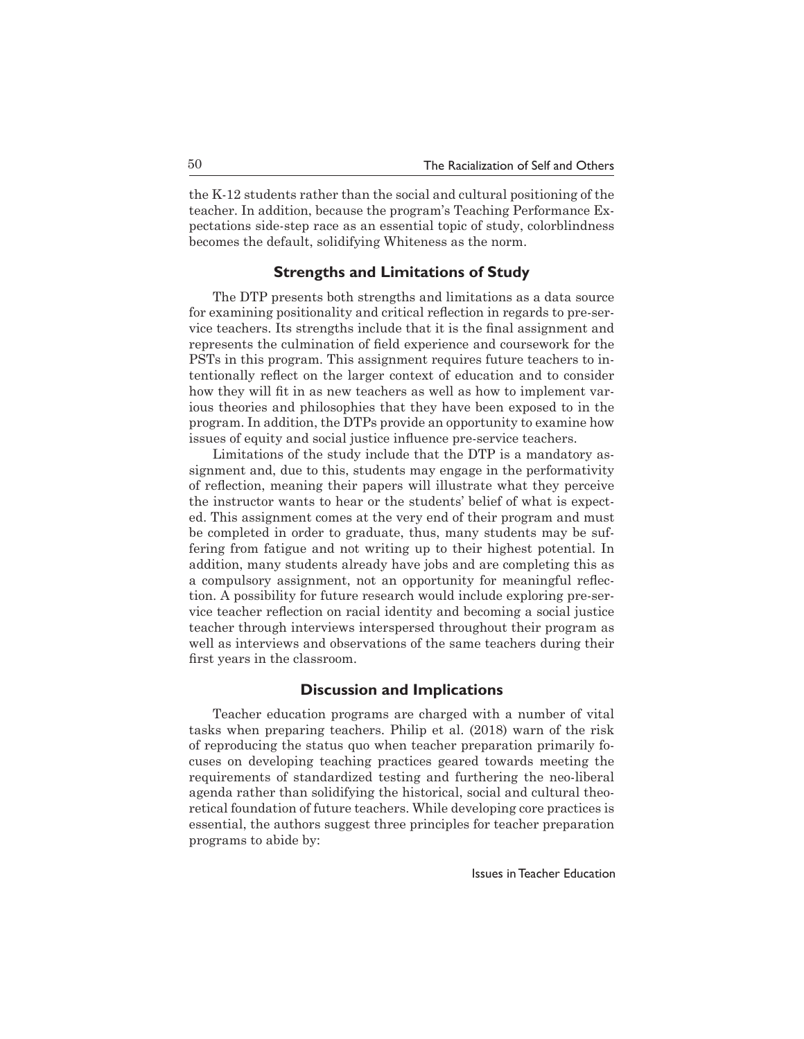the K-12 students rather than the social and cultural positioning of the teacher. In addition, because the program's Teaching Performance Expectations side-step race as an essential topic of study, colorblindness becomes the default, solidifying Whiteness as the norm.

# **Strengths and Limitations of Study**

The DTP presents both strengths and limitations as a data source for examining positionality and critical reflection in regards to pre-service teachers. Its strengths include that it is the final assignment and represents the culmination of field experience and coursework for the PSTs in this program. This assignment requires future teachers to intentionally reflect on the larger context of education and to consider how they will fit in as new teachers as well as how to implement various theories and philosophies that they have been exposed to in the program. In addition, the DTPs provide an opportunity to examine how issues of equity and social justice influence pre-service teachers.

Limitations of the study include that the DTP is a mandatory assignment and, due to this, students may engage in the performativity of reflection, meaning their papers will illustrate what they perceive the instructor wants to hear or the students' belief of what is expected. This assignment comes at the very end of their program and must be completed in order to graduate, thus, many students may be suffering from fatigue and not writing up to their highest potential. In addition, many students already have jobs and are completing this as a compulsory assignment, not an opportunity for meaningful reflection. A possibility for future research would include exploring pre-service teacher reflection on racial identity and becoming a social justice teacher through interviews interspersed throughout their program as well as interviews and observations of the same teachers during their first years in the classroom.

## **Discussion and Implications**

Teacher education programs are charged with a number of vital tasks when preparing teachers. Philip et al. (2018) warn of the risk of reproducing the status quo when teacher preparation primarily focuses on developing teaching practices geared towards meeting the requirements of standardized testing and furthering the neo-liberal agenda rather than solidifying the historical, social and cultural theoretical foundation of future teachers. While developing core practices is essential, the authors suggest three principles for teacher preparation programs to abide by: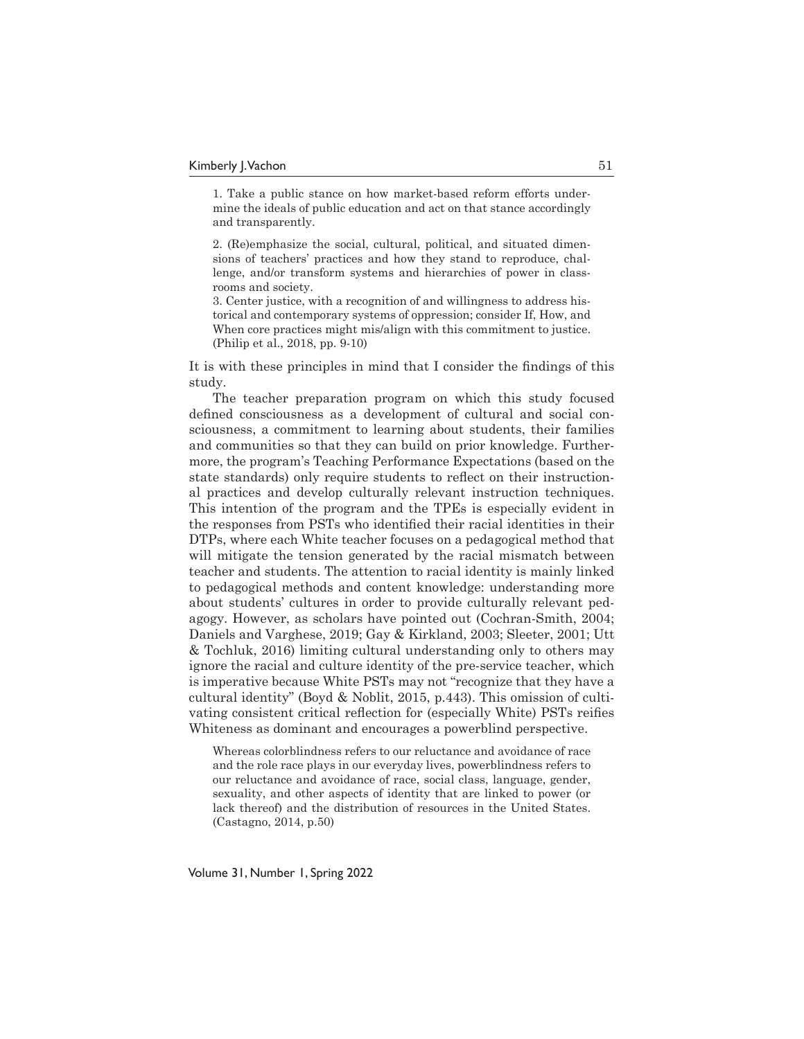1. Take a public stance on how market-based reform efforts undermine the ideals of public education and act on that stance accordingly and transparently.

2. (Re)emphasize the social, cultural, political, and situated dimensions of teachers' practices and how they stand to reproduce, challenge, and/or transform systems and hierarchies of power in classrooms and society.

3. Center justice, with a recognition of and willingness to address historical and contemporary systems of oppression; consider If, How, and When core practices might mis/align with this commitment to justice. (Philip et al., 2018, pp. 9-10)

It is with these principles in mind that I consider the findings of this study.

The teacher preparation program on which this study focused defined consciousness as a development of cultural and social consciousness, a commitment to learning about students, their families and communities so that they can build on prior knowledge. Furthermore, the program's Teaching Performance Expectations (based on the state standards) only require students to reflect on their instructional practices and develop culturally relevant instruction techniques. This intention of the program and the TPEs is especially evident in the responses from PSTs who identified their racial identities in their DTPs, where each White teacher focuses on a pedagogical method that will mitigate the tension generated by the racial mismatch between teacher and students. The attention to racial identity is mainly linked to pedagogical methods and content knowledge: understanding more about students' cultures in order to provide culturally relevant pedagogy. However, as scholars have pointed out (Cochran-Smith, 2004; Daniels and Varghese, 2019; Gay & Kirkland, 2003; Sleeter, 2001; Utt & Tochluk, 2016) limiting cultural understanding only to others may ignore the racial and culture identity of the pre-service teacher, which is imperative because White PSTs may not "recognize that they have a cultural identity" (Boyd & Noblit, 2015, p.443). This omission of cultivating consistent critical reflection for (especially White) PSTs reifies Whiteness as dominant and encourages a powerblind perspective.

Whereas colorblindness refers to our reluctance and avoidance of race and the role race plays in our everyday lives, powerblindness refers to our reluctance and avoidance of race, social class, language, gender, sexuality, and other aspects of identity that are linked to power (or lack thereof) and the distribution of resources in the United States. (Castagno, 2014, p.50)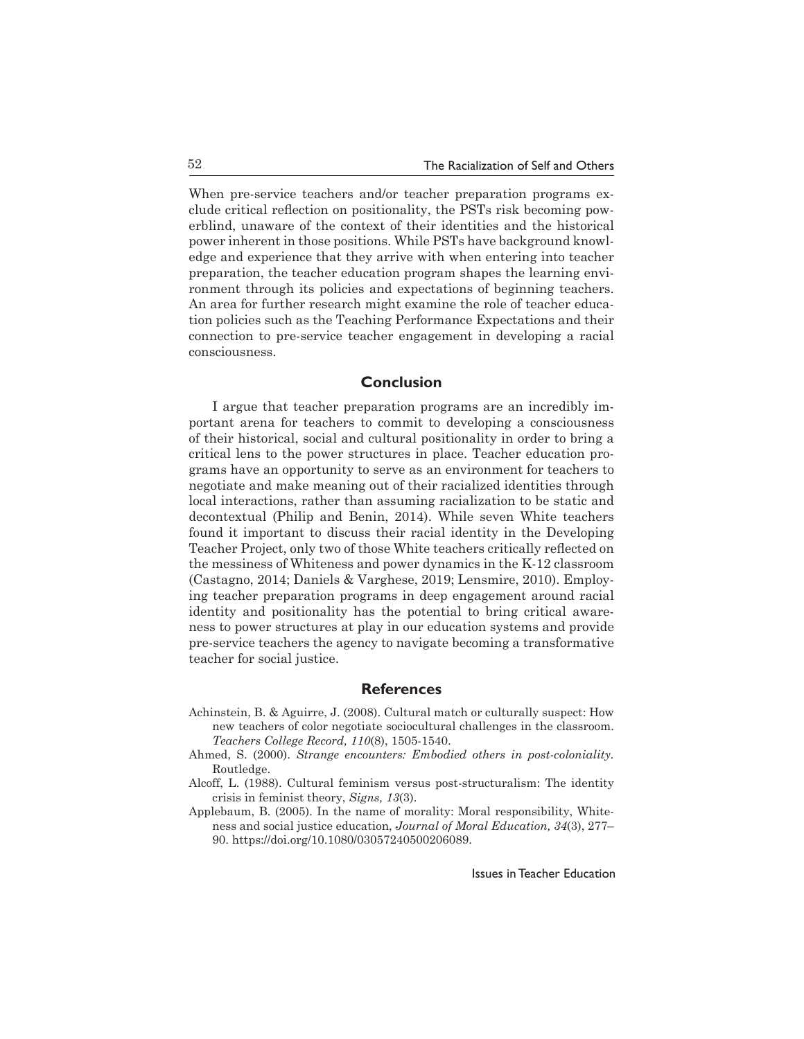When pre-service teachers and/or teacher preparation programs exclude critical reflection on positionality, the PSTs risk becoming powerblind, unaware of the context of their identities and the historical power inherent in those positions. While PSTs have background knowledge and experience that they arrive with when entering into teacher preparation, the teacher education program shapes the learning environment through its policies and expectations of beginning teachers. An area for further research might examine the role of teacher education policies such as the Teaching Performance Expectations and their connection to pre-service teacher engagement in developing a racial consciousness.

# **Conclusion**

I argue that teacher preparation programs are an incredibly important arena for teachers to commit to developing a consciousness of their historical, social and cultural positionality in order to bring a critical lens to the power structures in place. Teacher education programs have an opportunity to serve as an environment for teachers to negotiate and make meaning out of their racialized identities through local interactions, rather than assuming racialization to be static and decontextual (Philip and Benin, 2014). While seven White teachers found it important to discuss their racial identity in the Developing Teacher Project, only two of those White teachers critically reflected on the messiness of Whiteness and power dynamics in the K-12 classroom (Castagno, 2014; Daniels & Varghese, 2019; Lensmire, 2010). Employing teacher preparation programs in deep engagement around racial identity and positionality has the potential to bring critical awareness to power structures at play in our education systems and provide pre-service teachers the agency to navigate becoming a transformative teacher for social justice.

# **References**

- Achinstein, B. & Aguirre, J. (2008). Cultural match or culturally suspect: How new teachers of color negotiate sociocultural challenges in the classroom. *Teachers College Record, 110*(8), 1505-1540.
- Ahmed, S. (2000). *Strange encounters: Embodied others in post-coloniality.* Routledge.
- Alcoff, L. (1988). Cultural feminism versus post-structuralism: The identity crisis in feminist theory, *Signs, 13*(3).
- Applebaum, B. (2005). In the name of morality: Moral responsibility, Whiteness and social justice education, *Journal of Moral Education, 34*(3), 277– 90. https://doi.org/10.1080/03057240500206089.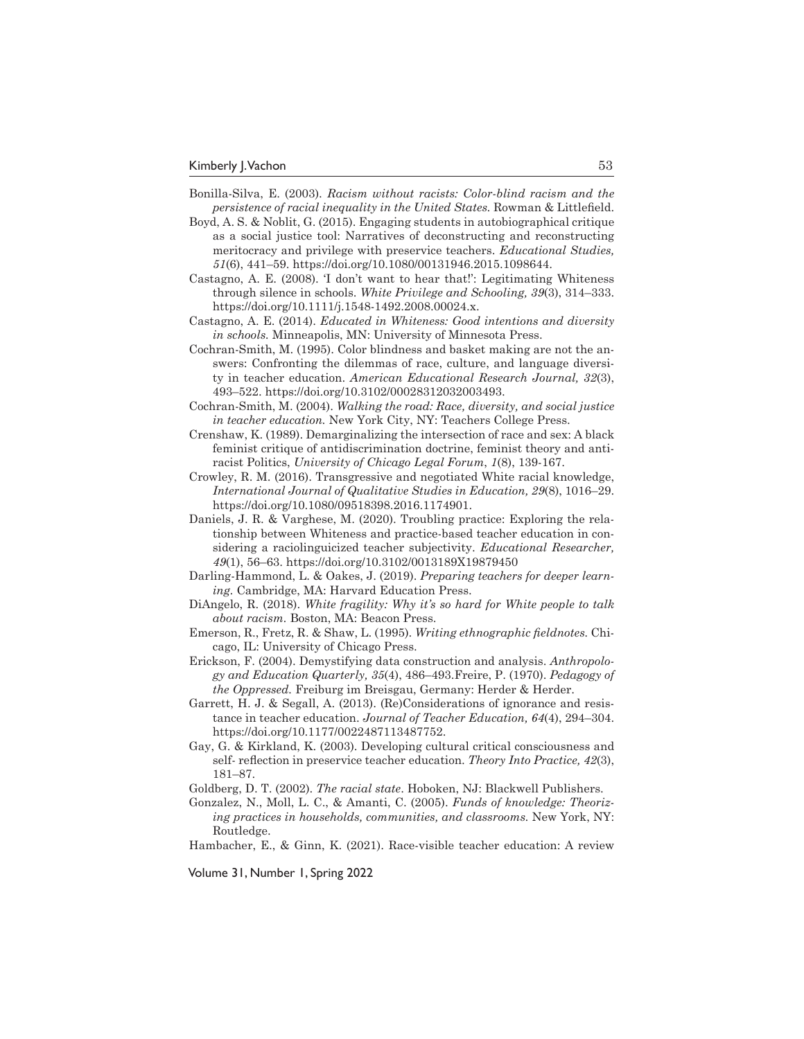- Bonilla-Silva, E. (2003). *Racism without racists: Color-blind racism and the persistence of racial inequality in the United States.* Rowman & Littlefield.
- Boyd, A. S. & Noblit, G. (2015). Engaging students in autobiographical critique as a social justice tool: Narratives of deconstructing and reconstructing meritocracy and privilege with preservice teachers. *Educational Studies, 51*(6), 441–59. https://doi.org/10.1080/00131946.2015.1098644.
- Castagno, A. E. (2008). 'I don't want to hear that!': Legitimating Whiteness through silence in schools. *White Privilege and Schooling, 39*(3), 314–333. https://doi.org/10.1111/j.1548-1492.2008.00024.x.
- Castagno, A. E. (2014). *Educated in Whiteness: Good intentions and diversity in schools.* Minneapolis, MN: University of Minnesota Press.
- Cochran-Smith, M. (1995). Color blindness and basket making are not the answers: Confronting the dilemmas of race, culture, and language diversity in teacher education. *American Educational Research Journal, 32*(3), 493–522. https://doi.org/10.3102/00028312032003493.
- Cochran-Smith, M. (2004). *Walking the road: Race, diversity, and social justice in teacher education.* New York City, NY: Teachers College Press.
- Crenshaw, K. (1989). Demarginalizing the intersection of race and sex: A black feminist critique of antidiscrimination doctrine, feminist theory and antiracist Politics, *University of Chicago Legal Forum*, *1*(8), 139-167.
- Crowley, R. M. (2016). Transgressive and negotiated White racial knowledge, *International Journal of Qualitative Studies in Education, 29*(8), 1016–29. https://doi.org/10.1080/09518398.2016.1174901.
- Daniels, J. R. & Varghese, M. (2020). Troubling practice: Exploring the relationship between Whiteness and practice-based teacher education in considering a raciolinguicized teacher subjectivity. *Educational Researcher, 49*(1), 56–63. https://doi.org/10.3102/0013189X19879450
- Darling-Hammond, L. & Oakes, J. (2019). *Preparing teachers for deeper learning.* Cambridge, MA: Harvard Education Press.
- DiAngelo, R. (2018). *White fragility: Why it's so hard for White people to talk about racism.* Boston, MA: Beacon Press.
- Emerson, R., Fretz, R. & Shaw, L. (1995). *Writing ethnographic fieldnotes.* Chicago, IL: University of Chicago Press.
- Erickson, F. (2004). Demystifying data construction and analysis. *Anthropology and Education Quarterly, 35*(4), 486–493.Freire, P. (1970). *Pedagogy of the Oppressed.* Freiburg im Breisgau, Germany: Herder & Herder.
- Garrett, H. J. & Segall, A. (2013). (Re)Considerations of ignorance and resistance in teacher education. *Journal of Teacher Education, 64*(4), 294–304. https://doi.org/10.1177/0022487113487752.
- Gay, G. & Kirkland, K. (2003). Developing cultural critical consciousness and self- reflection in preservice teacher education. *Theory Into Practice, 42*(3), 181–87.
- Goldberg, D. T. (2002). *The racial state*. Hoboken, NJ: Blackwell Publishers.
- Gonzalez, N., Moll, L. C., & Amanti, C. (2005). *Funds of knowledge: Theorizing practices in households, communities, and classrooms.* New York, NY: Routledge.
- Hambacher, E., & Ginn, K. (2021). Race-visible teacher education: A review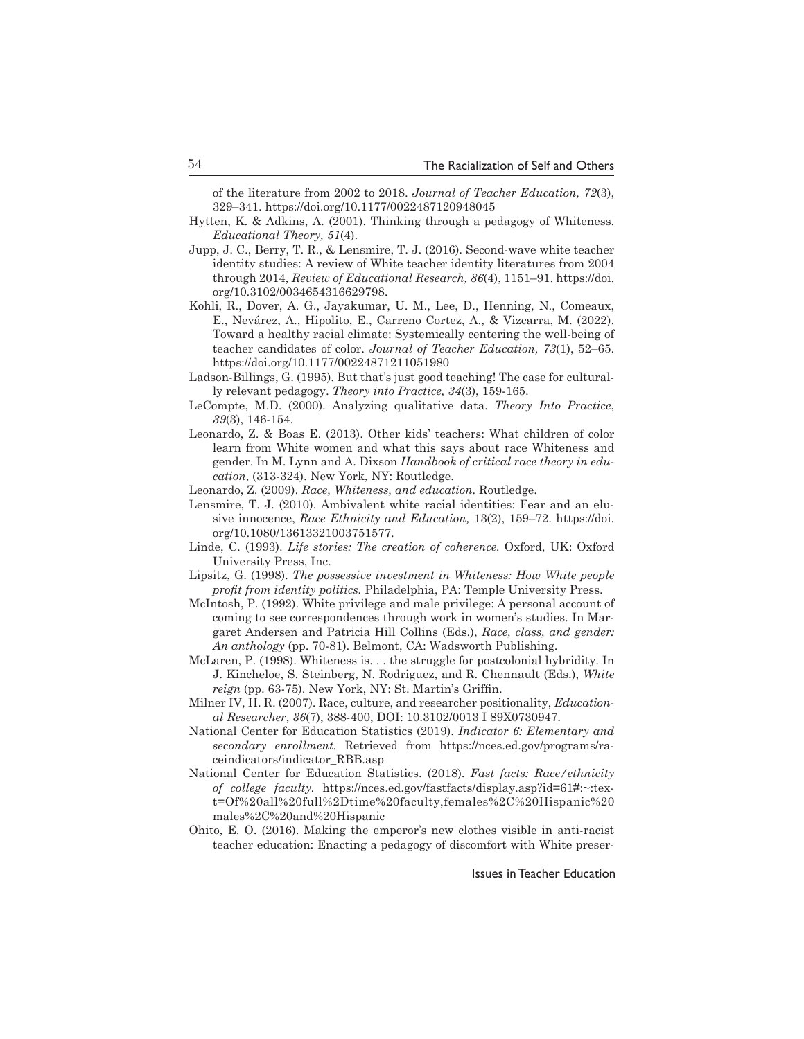of the literature from 2002 to 2018. *Journal of Teacher Education, 72*(3), 329–341. https://doi.org/10.1177/0022487120948045

- Hytten, K. & Adkins, A. (2001). Thinking through a pedagogy of Whiteness. *Educational Theory, 51*(4).
- Jupp, J. C., Berry, T. R., & Lensmire, T. J. (2016). Second-wave white teacher identity studies: A review of White teacher identity literatures from 2004 through 2014, *Review of Educational Research, 86*(4), 1151–91. https://doi. org/10.3102/0034654316629798.
- Kohli, R., Dover, A. G., Jayakumar, U. M., Lee, D., Henning, N., Comeaux, E., Nevárez, A., Hipolito, E., Carreno Cortez, A., & Vizcarra, M. (2022). Toward a healthy racial climate: Systemically centering the well-being of teacher candidates of color. *Journal of Teacher Education, 73*(1), 52–65. https://doi.org/10.1177/00224871211051980
- Ladson-Billings, G. (1995). But that's just good teaching! The case for culturally relevant pedagogy. *Theory into Practice, 34*(3), 159-165.
- LeCompte, M.D. (2000). Analyzing qualitative data. *Theory Into Practice*, *39*(3), 146-154.
- Leonardo, Z. & Boas E. (2013). Other kids' teachers: What children of color learn from White women and what this says about race Whiteness and gender. In M. Lynn and A. Dixson *Handbook of critical race theory in education*, (313-324). New York, NY: Routledge.
- Leonardo, Z. (2009). *Race, Whiteness, and education.* Routledge.
- Lensmire, T. J. (2010). Ambivalent white racial identities: Fear and an elusive innocence, *Race Ethnicity and Education,* 13(2), 159–72. https://doi. org/10.1080/13613321003751577.
- Linde, C. (1993). *Life stories: The creation of coherence.* Oxford, UK: Oxford University Press, Inc.
- Lipsitz, G. (1998). *The possessive investment in Whiteness: How White people profit from identity politics.* Philadelphia, PA: Temple University Press.
- McIntosh, P. (1992). White privilege and male privilege: A personal account of coming to see correspondences through work in women's studies. In Margaret Andersen and Patricia Hill Collins (Eds.), *Race, class, and gender: An anthology* (pp. 70-81). Belmont, CA: Wadsworth Publishing.
- McLaren, P. (1998). Whiteness is. . . the struggle for postcolonial hybridity. In J. Kincheloe, S. Steinberg, N. Rodriguez, and R. Chennault (Eds.), *White reign* (pp. 63-75). New York, NY: St. Martin's Griffin.
- Milner IV, H. R. (2007). Race, culture, and researcher positionality, *Educational Researcher*, *36*(7), 388-400, DOI: 10.3102/0013 I 89X0730947.
- National Center for Education Statistics (2019). *Indicator 6: Elementary and secondary enrollment.* Retrieved from https://nces.ed.gov/programs/raceindicators/indicator\_RBB.asp
- National Center for Education Statistics. (2018). *Fast facts: Race/ethnicity of college faculty.* https://nces.ed.gov/fastfacts/display.asp?id=61#:~:text=Of%20all%20full%2Dtime%20faculty,females%2C%20Hispanic%20 males%2C%20and%20Hispanic
- Ohito, E. O. (2016). Making the emperor's new clothes visible in anti-racist teacher education: Enacting a pedagogy of discomfort with White preser-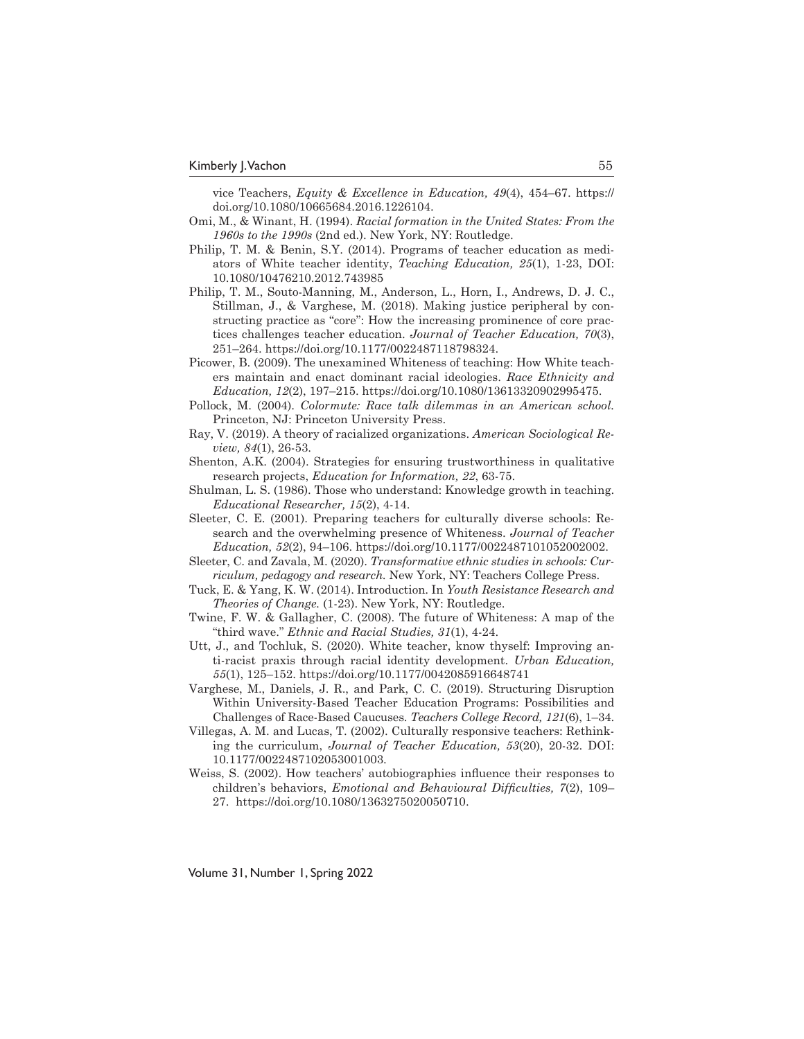vice Teachers, *Equity & Excellence in Education, 49*(4), 454–67. https:// doi.org/10.1080/10665684.2016.1226104.

- Omi, M., & Winant, H. (1994). *Racial formation in the United States: From the 1960s to the 1990s* (2nd ed.). New York, NY: Routledge.
- Philip, T. M. & Benin, S.Y. (2014). Programs of teacher education as mediators of White teacher identity, *Teaching Education, 25*(1), 1-23, DOI: 10.1080/10476210.2012.743985
- Philip, T. M., Souto-Manning, M., Anderson, L., Horn, I., Andrews, D. J. C., Stillman, J., & Varghese, M. (2018). Making justice peripheral by constructing practice as "core": How the increasing prominence of core practices challenges teacher education. *Journal of Teacher Education, 70*(3), 251–264. https://doi.org/10.1177/0022487118798324.
- Picower, B. (2009). The unexamined Whiteness of teaching: How White teachers maintain and enact dominant racial ideologies. *Race Ethnicity and Education, 12*(2), 197–215. https://doi.org/10.1080/13613320902995475.
- Pollock, M. (2004). *Colormute: Race talk dilemmas in an American school.*  Princeton, NJ: Princeton University Press.
- Ray, V. (2019). A theory of racialized organizations. *American Sociological Review, 84*(1), 26-53.
- Shenton, A.K. (2004). Strategies for ensuring trustworthiness in qualitative research projects, *Education for Information, 22*, 63-75.
- Shulman, L. S. (1986). Those who understand: Knowledge growth in teaching. *Educational Researcher, 15*(2), 4-14.
- Sleeter, C. E. (2001). Preparing teachers for culturally diverse schools: Research and the overwhelming presence of Whiteness. *Journal of Teacher Education, 52*(2), 94–106. https://doi.org/10.1177/0022487101052002002.
- Sleeter, C. and Zavala, M. (2020). *Transformative ethnic studies in schools: Curriculum, pedagogy and research.* New York, NY: Teachers College Press.
- Tuck, E. & Yang, K. W. (2014). Introduction*.* In *Youth Resistance Research and Theories of Change.* (1-23). New York, NY: Routledge.
- Twine, F. W. & Gallagher, C. (2008). The future of Whiteness: A map of the "third wave." *Ethnic and Racial Studies, 31*(1), 4-24.
- Utt, J., and Tochluk, S. (2020). White teacher, know thyself: Improving anti-racist praxis through racial identity development. *Urban Education, 55*(1), 125–152. https://doi.org/10.1177/0042085916648741
- Varghese, M., Daniels, J. R., and Park, C. C. (2019). Structuring Disruption Within University-Based Teacher Education Programs: Possibilities and Challenges of Race-Based Caucuses. *Teachers College Record, 121*(6), 1–34.
- Villegas, A. M. and Lucas, T. (2002). Culturally responsive teachers: Rethinking the curriculum, *Journal of Teacher Education, 53*(20), 20-32. DOI: 10.1177/0022487102053001003.
- Weiss, S. (2002). How teachers' autobiographies influence their responses to children's behaviors, *Emotional and Behavioural Difficulties, 7*(2), 109– 27. https://doi.org/10.1080/1363275020050710.